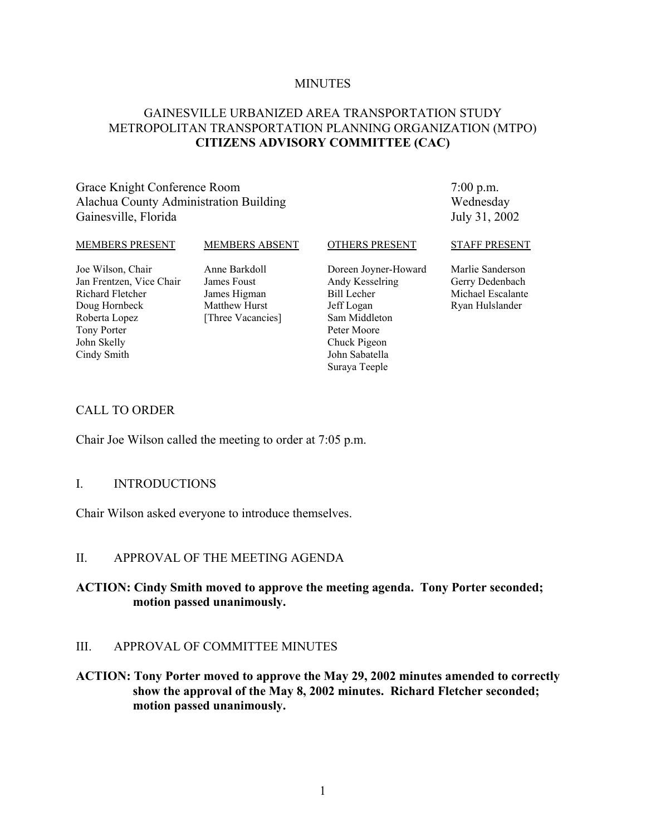#### **MINUTES**

## GAINESVILLE URBANIZED AREA TRANSPORTATION STUDY METROPOLITAN TRANSPORTATION PLANNING ORGANIZATION (MTPO) **CITIZENS ADVISORY COMMITTEE (CAC)**

### Grace Knight Conference Room Alachua County Administration Building Gainesville, Florida

#### 7:00 p.m. Wednesday July 31, 2002

#### MEMBERS PRESENT

#### MEMBERS ABSENT

OTHERS PRESENT

Joe Wilson, Chair Jan Frentzen, Vice Chair Richard Fletcher Doug Hornbeck Roberta Lopez Tony Porter John Skelly Cindy Smith

Anne Barkdoll James Foust James Higman Matthew Hurst [Three Vacancies]

Doreen Joyner-Howard Andy Kesselring Bill Lecher Jeff Logan Sam Middleton Peter Moore Chuck Pigeon John Sabatella Suraya Teeple

#### STAFF PRESENT

Marlie Sanderson Gerry Dedenbach Michael Escalante Ryan Hulslander

#### CALL TO ORDER

Chair Joe Wilson called the meeting to order at 7:05 p.m.

#### I. INTRODUCTIONS

Chair Wilson asked everyone to introduce themselves.

### II. APPROVAL OF THE MEETING AGENDA

## **ACTION: Cindy Smith moved to approve the meeting agenda. Tony Porter seconded; motion passed unanimously.**

### III. APPROVAL OF COMMITTEE MINUTES

**ACTION: Tony Porter moved to approve the May 29, 2002 minutes amended to correctly show the approval of the May 8, 2002 minutes. Richard Fletcher seconded; motion passed unanimously.**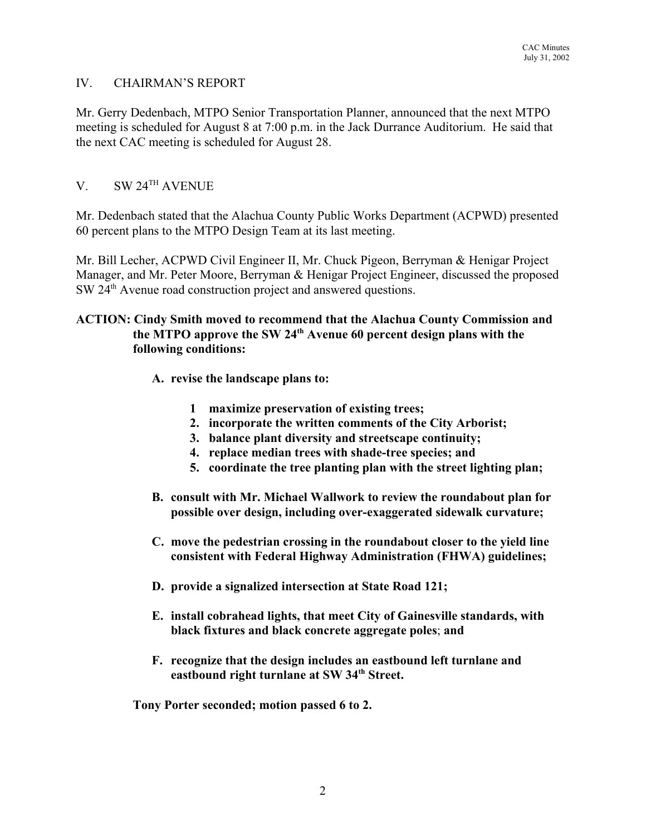### IV. CHAIRMAN'S REPORT

Mr. Gerry Dedenbach, MTPO Senior Transportation Planner, announced that the next MTPO meeting is scheduled for August 8 at 7:00 p.m. in the Jack Durrance Auditorium. He said that the next CAC meeting is scheduled for August 28.

## V. SW 24TH AVENUE

Mr. Dedenbach stated that the Alachua County Public Works Department (ACPWD) presented 60 percent plans to the MTPO Design Team at its last meeting.

Mr. Bill Lecher, ACPWD Civil Engineer II, Mr. Chuck Pigeon, Berryman & Henigar Project Manager, and Mr. Peter Moore, Berryman & Henigar Project Engineer, discussed the proposed SW 24th Avenue road construction project and answered questions.

## **ACTION: Cindy Smith moved to recommend that the Alachua County Commission and the MTPO approve the SW 24th Avenue 60 percent design plans with the following conditions:**

- **A. revise the landscape plans to:**
	- **1 maximize preservation of existing trees;**
	- **2. incorporate the written comments of the City Arborist;**
	- **3. balance plant diversity and streetscape continuity;**
	- **4. replace median trees with shade-tree species; and**
	- **5. coordinate the tree planting plan with the street lighting plan;**
- **B. consult with Mr. Michael Wallwork to review the roundabout plan for possible over design, including over-exaggerated sidewalk curvature;**
- **C. move the pedestrian crossing in the roundabout closer to the yield line consistent with Federal Highway Administration (FHWA) guidelines;**
- **D. provide a signalized intersection at State Road 121;**
- **E. install cobrahead lights, that meet City of Gainesville standards, with black fixtures and black concrete aggregate poles**; **and**
- **F. recognize that the design includes an eastbound left turnlane and eastbound right turnlane at SW 34th Street.**

**Tony Porter seconded; motion passed 6 to 2.**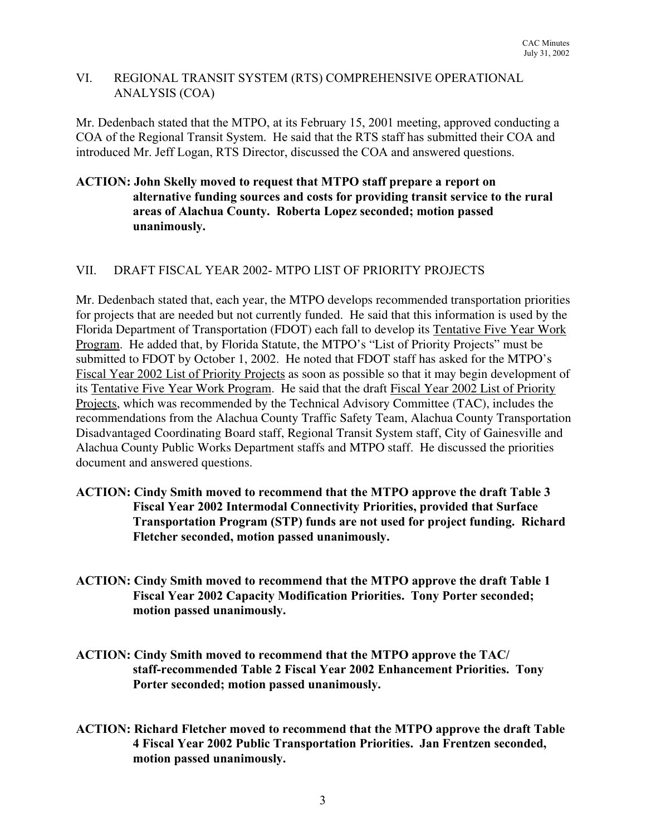## VI. REGIONAL TRANSIT SYSTEM (RTS) COMPREHENSIVE OPERATIONAL ANALYSIS (COA)

Mr. Dedenbach stated that the MTPO, at its February 15, 2001 meeting, approved conducting a COA of the Regional Transit System. He said that the RTS staff has submitted their COA and introduced Mr. Jeff Logan, RTS Director, discussed the COA and answered questions.

## **ACTION: John Skelly moved to request that MTPO staff prepare a report on alternative funding sources and costs for providing transit service to the rural areas of Alachua County. Roberta Lopez seconded; motion passed unanimously.**

## VII. DRAFT FISCAL YEAR 2002- MTPO LIST OF PRIORITY PROJECTS

Mr. Dedenbach stated that, each year, the MTPO develops recommended transportation priorities for projects that are needed but not currently funded. He said that this information is used by the Florida Department of Transportation (FDOT) each fall to develop its Tentative Five Year Work Program. He added that, by Florida Statute, the MTPO's "List of Priority Projects" must be submitted to FDOT by October 1, 2002. He noted that FDOT staff has asked for the MTPO's Fiscal Year 2002 List of Priority Projects as soon as possible so that it may begin development of its Tentative Five Year Work Program. He said that the draft Fiscal Year 2002 List of Priority Projects, which was recommended by the Technical Advisory Committee (TAC), includes the recommendations from the Alachua County Traffic Safety Team, Alachua County Transportation Disadvantaged Coordinating Board staff, Regional Transit System staff, City of Gainesville and Alachua County Public Works Department staffs and MTPO staff. He discussed the priorities document and answered questions.

- **ACTION: Cindy Smith moved to recommend that the MTPO approve the draft Table 3 Fiscal Year 2002 Intermodal Connectivity Priorities, provided that Surface Transportation Program (STP) funds are not used for project funding. Richard Fletcher seconded, motion passed unanimously.**
- **ACTION: Cindy Smith moved to recommend that the MTPO approve the draft Table 1 Fiscal Year 2002 Capacity Modification Priorities. Tony Porter seconded; motion passed unanimously.**
- **ACTION: Cindy Smith moved to recommend that the MTPO approve the TAC/ staff-recommended Table 2 Fiscal Year 2002 Enhancement Priorities. Tony Porter seconded; motion passed unanimously.**
- **ACTION: Richard Fletcher moved to recommend that the MTPO approve the draft Table 4 Fiscal Year 2002 Public Transportation Priorities. Jan Frentzen seconded, motion passed unanimously.**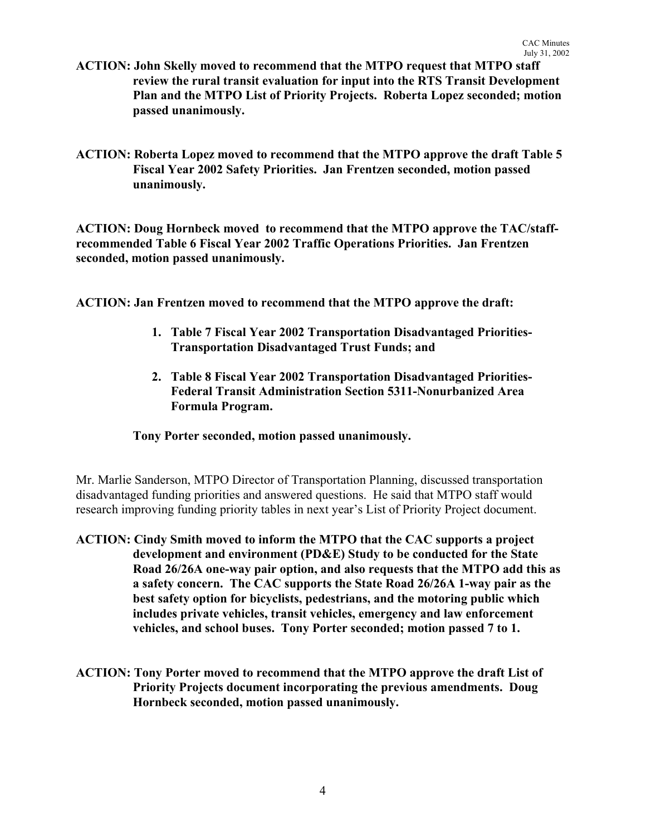- **ACTION: John Skelly moved to recommend that the MTPO request that MTPO staff review the rural transit evaluation for input into the RTS Transit Development Plan and the MTPO List of Priority Projects. Roberta Lopez seconded; motion passed unanimously.**
- **ACTION: Roberta Lopez moved to recommend that the MTPO approve the draft Table 5 Fiscal Year 2002 Safety Priorities. Jan Frentzen seconded, motion passed unanimously.**

**ACTION: Doug Hornbeck moved to recommend that the MTPO approve the TAC/staffrecommended Table 6 Fiscal Year 2002 Traffic Operations Priorities. Jan Frentzen seconded, motion passed unanimously.**

**ACTION: Jan Frentzen moved to recommend that the MTPO approve the draft:**

- **1. Table 7 Fiscal Year 2002 Transportation Disadvantaged Priorities-Transportation Disadvantaged Trust Funds; and**
- **2. Table 8 Fiscal Year 2002 Transportation Disadvantaged Priorities-Federal Transit Administration Section 5311-Nonurbanized Area Formula Program.**

### **Tony Porter seconded, motion passed unanimously.**

Mr. Marlie Sanderson, MTPO Director of Transportation Planning, discussed transportation disadvantaged funding priorities and answered questions. He said that MTPO staff would research improving funding priority tables in next year's List of Priority Project document.

- **ACTION: Cindy Smith moved to inform the MTPO that the CAC supports a project development and environment (PD&E) Study to be conducted for the State Road 26/26A one-way pair option, and also requests that the MTPO add this as a safety concern. The CAC supports the State Road 26/26A 1-way pair as the best safety option for bicyclists, pedestrians, and the motoring public which includes private vehicles, transit vehicles, emergency and law enforcement vehicles, and school buses. Tony Porter seconded; motion passed 7 to 1.**
- **ACTION: Tony Porter moved to recommend that the MTPO approve the draft List of Priority Projects document incorporating the previous amendments. Doug Hornbeck seconded, motion passed unanimously.**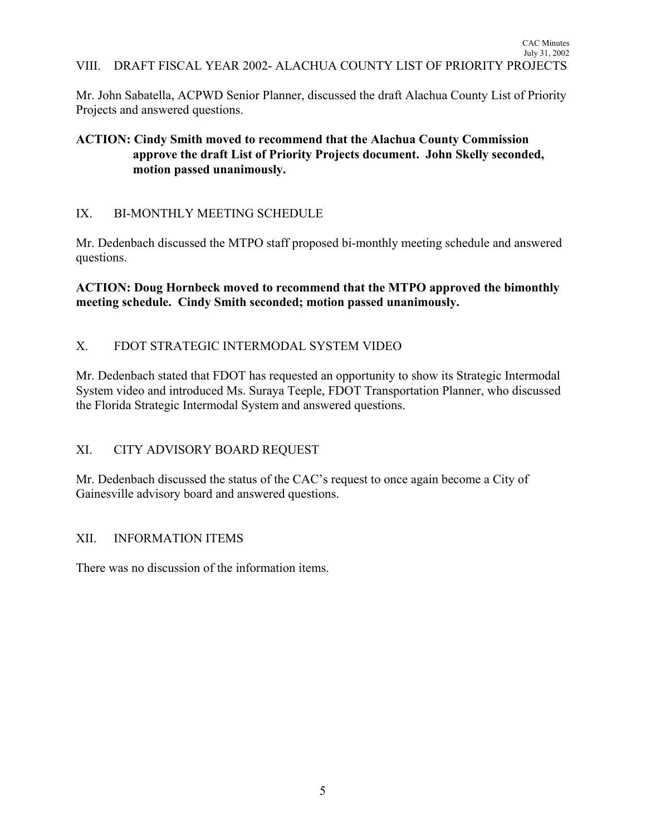Mr. John Sabatella, ACPWD Senior Planner, discussed the draft Alachua County List of Priority Projects and answered questions.

## **ACTION: Cindy Smith moved to recommend that the Alachua County Commission approve the draft List of Priority Projects document. John Skelly seconded, motion passed unanimously.**

## IX. BI-MONTHLY MEETING SCHEDULE

Mr. Dedenbach discussed the MTPO staff proposed bi-monthly meeting schedule and answered questions.

**ACTION: Doug Hornbeck moved to recommend that the MTPO approved the bimonthly meeting schedule. Cindy Smith seconded; motion passed unanimously.**

## X. FDOT STRATEGIC INTERMODAL SYSTEM VIDEO

Mr. Dedenbach stated that FDOT has requested an opportunity to show its Strategic Intermodal System video and introduced Ms. Suraya Teeple, FDOT Transportation Planner, who discussed the Florida Strategic Intermodal System and answered questions.

## XI. CITY ADVISORY BOARD REQUEST

Mr. Dedenbach discussed the status of the CAC's request to once again become a City of Gainesville advisory board and answered questions.

## XII. INFORMATION ITEMS

There was no discussion of the information items.